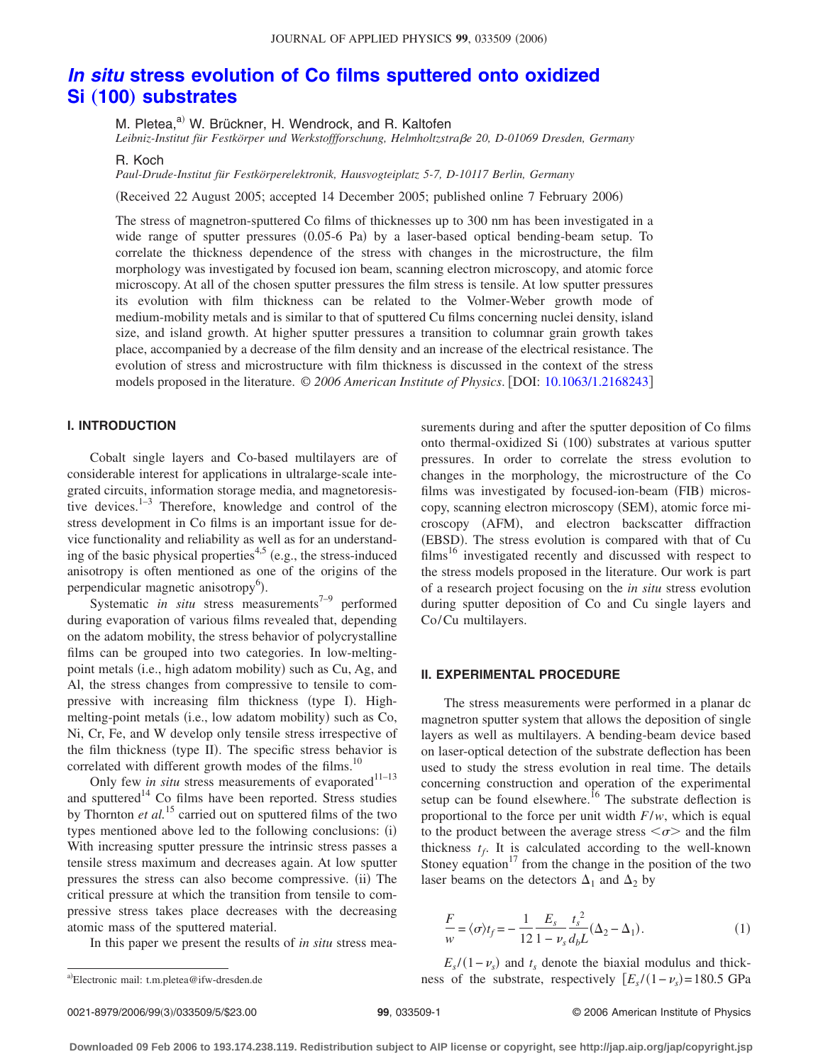# *In situ* **[stress evolution of Co films sputtered onto oxidized](http://dx.doi.org/10.1063/1.2168243) Si** (100) [substrates](http://dx.doi.org/10.1063/1.2168243)

M. Pletea.<sup>a)</sup> W. Brückner, H. Wendrock, and R. Kaltofen

*Leibniz-Institut für Festkörper und Werkstoffforschung, Helmholtzstrae 20, D-01069 Dresden, Germany*

R. Koch

*Paul-Drude-Institut für Festkörperelektronik, Hausvogteiplatz 5-7, D-10117 Berlin, Germany*

(Received 22 August 2005; accepted 14 December 2005; published online 7 February 2006)

The stress of magnetron-sputtered Co films of thicknesses up to 300 nm has been investigated in a wide range of sputter pressures (0.05-6 Pa) by a laser-based optical bending-beam setup. To correlate the thickness dependence of the stress with changes in the microstructure, the film morphology was investigated by focused ion beam, scanning electron microscopy, and atomic force microscopy. At all of the chosen sputter pressures the film stress is tensile. At low sputter pressures its evolution with film thickness can be related to the Volmer-Weber growth mode of medium-mobility metals and is similar to that of sputtered Cu films concerning nuclei density, island size, and island growth. At higher sputter pressures a transition to columnar grain growth takes place, accompanied by a decrease of the film density and an increase of the electrical resistance. The evolution of stress and microstructure with film thickness is discussed in the context of the stress models proposed in the literature. © *2006 American Institute of Physics*. DOI: [10.1063/1.2168243](http://dx.doi.org/10.1063/1.2168243)

## **I. INTRODUCTION**

Cobalt single layers and Co-based multilayers are of considerable interest for applications in ultralarge-scale integrated circuits, information storage media, and magnetoresistive devices. $1-3$  Therefore, knowledge and control of the stress development in Co films is an important issue for device functionality and reliability as well as for an understanding of the basic physical properties<sup>4,5</sup> (e.g., the stress-induced anisotropy is often mentioned as one of the origins of the perpendicular magnetic anisotropy<sup>6</sup>).

Systematic *in situ* stress measurements<sup> $7-9$ </sup> performed during evaporation of various films revealed that, depending on the adatom mobility, the stress behavior of polycrystalline films can be grouped into two categories. In low-meltingpoint metals (i.e., high adatom mobility) such as Cu, Ag, and Al, the stress changes from compressive to tensile to compressive with increasing film thickness (type I). Highmelting-point metals (i.e., low adatom mobility) such as Co, Ni, Cr, Fe, and W develop only tensile stress irrespective of the film thickness (type II). The specific stress behavior is correlated with different growth modes of the films.<sup>10</sup>

Only few *in situ* stress measurements of evaporated<sup>11-13</sup> and sputtered<sup>14</sup> Co films have been reported. Stress studies by Thornton *et al.*<sup>15</sup> carried out on sputtered films of the two types mentioned above led to the following conclusions: (i) With increasing sputter pressure the intrinsic stress passes a tensile stress maximum and decreases again. At low sputter pressures the stress can also become compressive. (ii) The critical pressure at which the transition from tensile to compressive stress takes place decreases with the decreasing atomic mass of the sputtered material.

In this paper we present the results of *in situ* stress mea-

surements during and after the sputter deposition of Co films onto thermal-oxidized Si (100) substrates at various sputter pressures. In order to correlate the stress evolution to changes in the morphology, the microstructure of the Co films was investigated by focused-ion-beam (FIB) microscopy, scanning electron microscopy (SEM), atomic force microscopy (AFM), and electron backscatter diffraction (EBSD). The stress evolution is compared with that of Cu  $films<sup>16</sup> investigated recently and discussed with respect to$ the stress models proposed in the literature. Our work is part of a research project focusing on the *in situ* stress evolution during sputter deposition of Co and Cu single layers and Co/Cu multilayers.

#### **II. EXPERIMENTAL PROCEDURE**

The stress measurements were performed in a planar dc magnetron sputter system that allows the deposition of single layers as well as multilayers. A bending-beam device based on laser-optical detection of the substrate deflection has been used to study the stress evolution in real time. The details concerning construction and operation of the experimental setup can be found elsewhere.<sup>16</sup> The substrate deflection is proportional to the force per unit width *F*/*w*, which is equal to the product between the average stress  $\langle \sigma \rangle$  and the film thickness  $t_f$ . It is calculated according to the well-known Stoney equation<sup>17</sup> from the change in the position of the two laser beams on the detectors  $\Delta_1$  and  $\Delta_2$  by

$$
\frac{F}{w} = \langle \sigma \rangle t_f = -\frac{1}{12} \frac{E_s}{1 - v_s} \frac{t_s^2}{d_b L} (\Delta_2 - \Delta_1).
$$
 (1)

 $E_s/(1-\nu_s)$  and  $t_s$  denote the biaxial modulus and thicka)Electronic mail: t.m.pletea@ifw-dresden.de ness of the substrate, respectively  $[E_s/(1-\nu_s) = 180.5 \text{ GPa}$ 

Electronic mail: t.m.pletea@ifw-dresden.de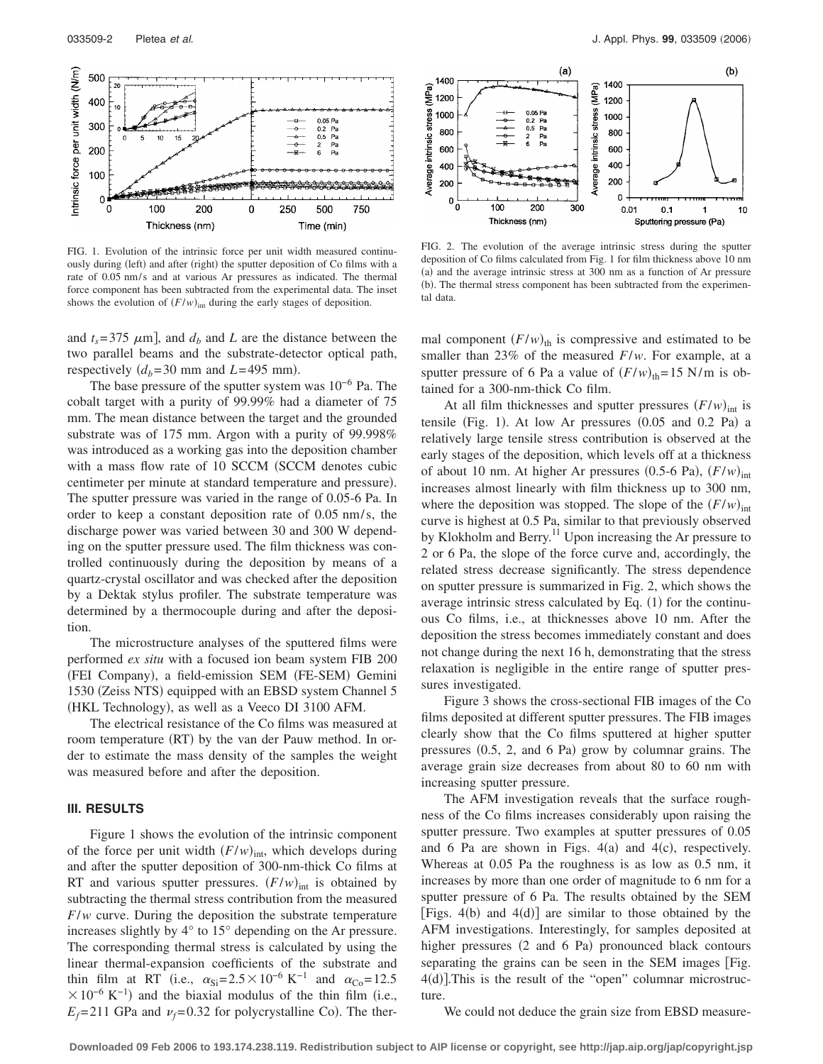

FIG. 1. Evolution of the intrinsic force per unit width measured continuously during (left) and after (right) the sputter deposition of Co films with a rate of 0.05 nm/s and at various Ar pressures as indicated. The thermal force component has been subtracted from the experimental data. The inset shows the evolution of  $(F/w)_{int}$  during the early stages of deposition.

and  $t_s$ =375  $\mu$ m], and  $d_b$  and *L* are the distance between the two parallel beams and the substrate-detector optical path, respectively  $(d_b=30 \text{ mm and } L=495 \text{ mm}).$ 

The base pressure of the sputter system was  $10^{-6}$  Pa. The cobalt target with a purity of 99.99% had a diameter of 75 mm. The mean distance between the target and the grounded substrate was of 175 mm. Argon with a purity of 99.998% was introduced as a working gas into the deposition chamber with a mass flow rate of 10 SCCM (SCCM denotes cubic centimeter per minute at standard temperature and pressure). The sputter pressure was varied in the range of 0.05-6 Pa. In order to keep a constant deposition rate of 0.05 nm/s, the discharge power was varied between 30 and 300 W depending on the sputter pressure used. The film thickness was controlled continuously during the deposition by means of a quartz-crystal oscillator and was checked after the deposition by a Dektak stylus profiler. The substrate temperature was determined by a thermocouple during and after the deposition.

The microstructure analyses of the sputtered films were performed *ex situ* with a focused ion beam system FIB 200 (FEI Company), a field-emission SEM (FE-SEM) Gemini 1530 (Zeiss NTS) equipped with an EBSD system Channel 5 (HKL Technology), as well as a Veeco DI 3100 AFM.

The electrical resistance of the Co films was measured at room temperature (RT) by the van der Pauw method. In order to estimate the mass density of the samples the weight was measured before and after the deposition.

### **III. RESULTS**

Figure 1 shows the evolution of the intrinsic component of the force per unit width  $(F/w)_{\text{int}}$ , which develops during and after the sputter deposition of 300-nm-thick Co films at RT and various sputter pressures.  $(F/w)_{int}$  is obtained by subtracting the thermal stress contribution from the measured *F*/*w* curve. During the deposition the substrate temperature increases slightly by 4° to 15° depending on the Ar pressure. The corresponding thermal stress is calculated by using the linear thermal-expansion coefficients of the substrate and thin film at RT (i.e.,  $\alpha_{Si} = 2.5 \times 10^{-6} \text{ K}^{-1}$  and  $\alpha_{Co} = 12.5$  $\times 10^{-6}$  K<sup>-1</sup>) and the biaxial modulus of the thin film (i.e.,  $E_f$ =211 GPa and  $\nu_f$ =0.32 for polycrystalline Co). The ther-



FIG. 2. The evolution of the average intrinsic stress during the sputter deposition of Co films calculated from Fig. 1 for film thickness above 10 nm (a) and the average intrinsic stress at 300 nm as a function of Ar pressure (b). The thermal stress component has been subtracted from the experimental data.

mal component  $(F/w)_{\text{th}}$  is compressive and estimated to be smaller than 23% of the measured *F*/*w*. For example, at a sputter pressure of 6 Pa a value of  $(F/w)_{\text{th}} = 15$  N/m is obtained for a 300-nm-thick Co film.

At all film thicknesses and sputter pressures  $(F/w)_{int}$  is tensile (Fig. 1). At low Ar pressures  $(0.05$  and  $0.2$  Pa) a relatively large tensile stress contribution is observed at the early stages of the deposition, which levels off at a thickness of about 10 nm. At higher Ar pressures  $(0.5\n-6 \text{ Pa})$ ,  $(F/w)_{\text{int}}$ increases almost linearly with film thickness up to 300 nm, where the deposition was stopped. The slope of the  $(F/w)_{int}$ curve is highest at 0.5 Pa, similar to that previously observed by Klokholm and Berry.<sup>11</sup> Upon increasing the Ar pressure to 2 or 6 Pa, the slope of the force curve and, accordingly, the related stress decrease significantly. The stress dependence on sputter pressure is summarized in Fig. 2, which shows the average intrinsic stress calculated by Eq.  $(1)$  for the continuous Co films, i.e., at thicknesses above 10 nm. After the deposition the stress becomes immediately constant and does not change during the next 16 h, demonstrating that the stress relaxation is negligible in the entire range of sputter pressures investigated.

Figure 3 shows the cross-sectional FIB images of the Co films deposited at different sputter pressures. The FIB images clearly show that the Co films sputtered at higher sputter pressures  $(0.5, 2,$  and  $6$  Pa) grow by columnar grains. The average grain size decreases from about 80 to 60 nm with increasing sputter pressure.

The AFM investigation reveals that the surface roughness of the Co films increases considerably upon raising the sputter pressure. Two examples at sputter pressures of 0.05 and 6 Pa are shown in Figs.  $4(a)$  and  $4(c)$ , respectively. Whereas at 0.05 Pa the roughness is as low as 0.5 nm, it increases by more than one order of magnitude to 6 nm for a sputter pressure of 6 Pa. The results obtained by the SEM [Figs.  $4(b)$  and  $4(d)$ ] are similar to those obtained by the AFM investigations. Interestingly, for samples deposited at higher pressures (2 and 6 Pa) pronounced black contours separating the grains can be seen in the SEM images [Fig. 4(d)]. This is the result of the "open" columnar microstructure.

We could not deduce the grain size from EBSD measure-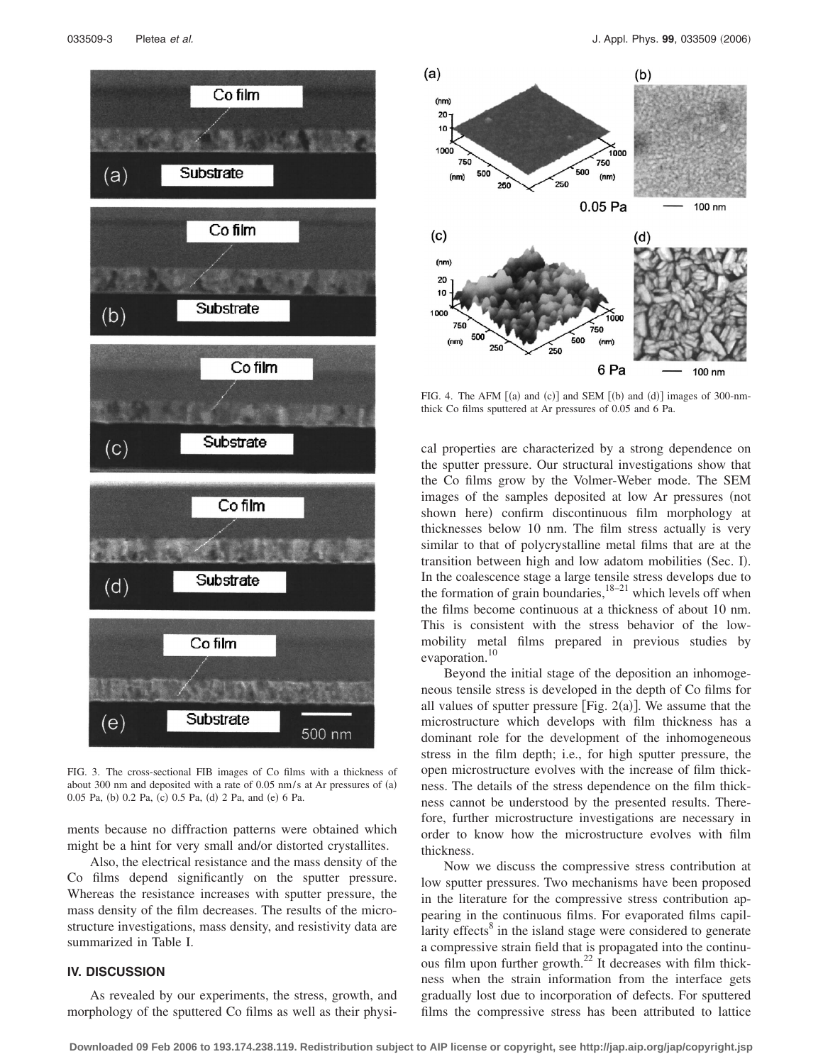

FIG. 3. The cross-sectional FIB images of Co films with a thickness of about 300 nm and deposited with a rate of 0.05 nm/s at Ar pressures of (a) 0.05 Pa, (b) 0.2 Pa, (c) 0.5 Pa, (d) 2 Pa, and (e) 6 Pa.

ments because no diffraction patterns were obtained which might be a hint for very small and/or distorted crystallites.

Also, the electrical resistance and the mass density of the Co films depend significantly on the sputter pressure. Whereas the resistance increases with sputter pressure, the mass density of the film decreases. The results of the microstructure investigations, mass density, and resistivity data are summarized in Table I.

### **IV. DISCUSSION**

As revealed by our experiments, the stress, growth, and morphology of the sputtered Co films as well as their physi-



FIG. 4. The AFM  $[(a)$  and  $(c)]$  and SEM  $[(b)$  and  $(d)]$  images of 300-nmthick Co films sputtered at Ar pressures of 0.05 and 6 Pa.

cal properties are characterized by a strong dependence on the sputter pressure. Our structural investigations show that the Co films grow by the Volmer-Weber mode. The SEM images of the samples deposited at low Ar pressures (not shown here) confirm discontinuous film morphology at thicknesses below 10 nm. The film stress actually is very similar to that of polycrystalline metal films that are at the transition between high and low adatom mobilities (Sec. I). In the coalescence stage a large tensile stress develops due to the formation of grain boundaries, $18-21$  which levels off when the films become continuous at a thickness of about 10 nm. This is consistent with the stress behavior of the lowmobility metal films prepared in previous studies by evaporation.<sup>10</sup>

Beyond the initial stage of the deposition an inhomogeneous tensile stress is developed in the depth of Co films for all values of sputter pressure [Fig.  $2(a)$ ]. We assume that the microstructure which develops with film thickness has a dominant role for the development of the inhomogeneous stress in the film depth; i.e., for high sputter pressure, the open microstructure evolves with the increase of film thickness. The details of the stress dependence on the film thickness cannot be understood by the presented results. Therefore, further microstructure investigations are necessary in order to know how the microstructure evolves with film thickness.

Now we discuss the compressive stress contribution at low sputter pressures. Two mechanisms have been proposed in the literature for the compressive stress contribution appearing in the continuous films. For evaporated films capillarity effects $8$  in the island stage were considered to generate a compressive strain field that is propagated into the continuous film upon further growth.<sup>22</sup> It decreases with film thickness when the strain information from the interface gets gradually lost due to incorporation of defects. For sputtered films the compressive stress has been attributed to lattice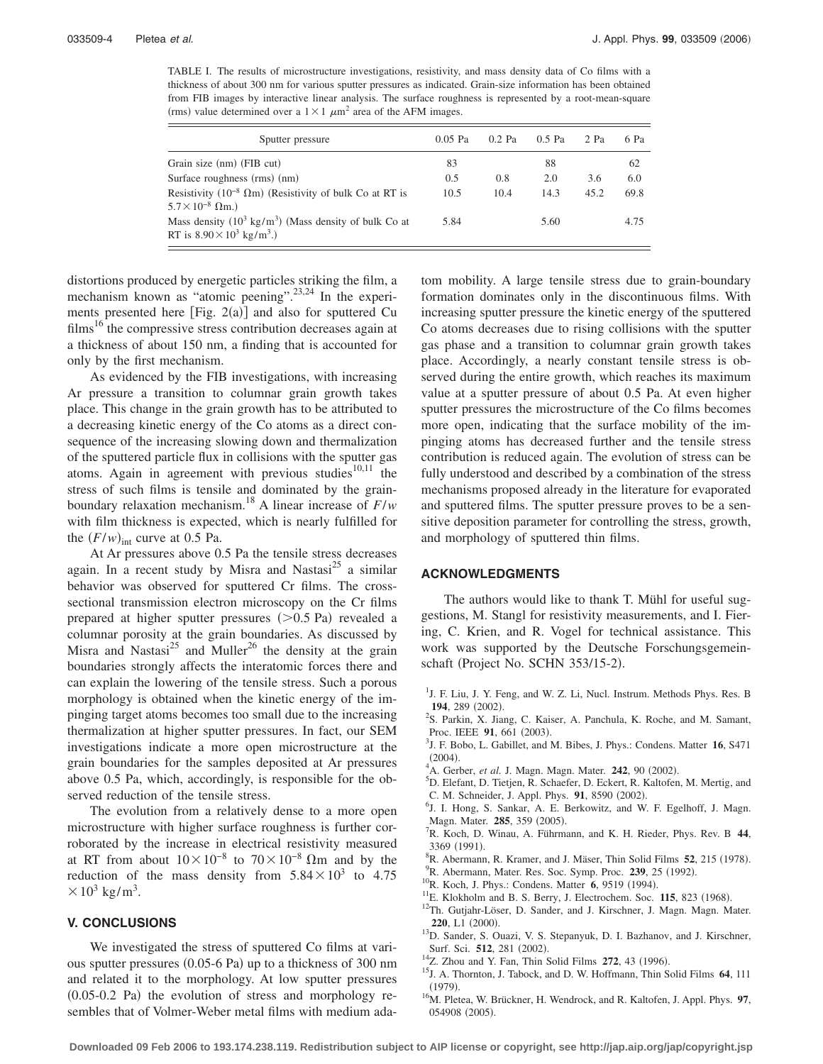TABLE I. The results of microstructure investigations, resistivity, and mass density data of Co films with a thickness of about 300 nm for various sputter pressures as indicated. Grain-size information has been obtained from FIB images by interactive linear analysis. The surface roughness is represented by a root-mean-square (rms) value determined over a  $1 \times 1 \ \mu m^2$  area of the AFM images.

| Sputter pressure                                                                                                  | $0.05$ Pa | $0.2$ Pa | $0.5$ Pa | $2$ Pa | 6 Pa |
|-------------------------------------------------------------------------------------------------------------------|-----------|----------|----------|--------|------|
| Grain size (nm) (FIB cut)                                                                                         | 83        |          | 88       |        | 62   |
| Surface roughness (rms) (nm)                                                                                      | 0.5       | 0.8      | 2.0      | 3.6    | 6.0  |
| Resistivity (10 <sup>-8</sup> $\Omega$ m) (Resistivity of bulk Co at RT is<br>$5.7 \times 10^{-8}$ $\Omega$ m.)   | 10.5      | 10.4     | 14.3     | 45.2   | 69.8 |
| Mass density $(10^3 \text{ kg/m}^3)$ (Mass density of bulk Co at<br>RT is $8.90 \times 10^3$ kg/m <sup>3</sup> .) | 5.84      |          | 5.60     |        | 4.75 |

distortions produced by energetic particles striking the film, a mechanism known as "atomic peening".<sup>23,24</sup> In the experiments presented here  $[Fig. 2(a)]$  and also for sputtered Cu films<sup>16</sup> the compressive stress contribution decreases again at a thickness of about 150 nm, a finding that is accounted for only by the first mechanism.

As evidenced by the FIB investigations, with increasing Ar pressure a transition to columnar grain growth takes place. This change in the grain growth has to be attributed to a decreasing kinetic energy of the Co atoms as a direct consequence of the increasing slowing down and thermalization of the sputtered particle flux in collisions with the sputter gas atoms. Again in agreement with previous studies $10,11$  the stress of such films is tensile and dominated by the grainboundary relaxation mechanism.<sup>18</sup> A linear increase of  $F/w$ with film thickness is expected, which is nearly fulfilled for the  $(F/w)_{\text{int}}$  curve at 0.5 Pa.

At Ar pressures above 0.5 Pa the tensile stress decreases again. In a recent study by Misra and Nastasi<sup>25</sup> a similar behavior was observed for sputtered Cr films. The crosssectional transmission electron microscopy on the Cr films prepared at higher sputter pressures  $(>0.5$  Pa) revealed a columnar porosity at the grain boundaries. As discussed by Misra and Nastasi<sup>25</sup> and Muller<sup>26</sup> the density at the grain boundaries strongly affects the interatomic forces there and can explain the lowering of the tensile stress. Such a porous morphology is obtained when the kinetic energy of the impinging target atoms becomes too small due to the increasing thermalization at higher sputter pressures. In fact, our SEM investigations indicate a more open microstructure at the grain boundaries for the samples deposited at Ar pressures above 0.5 Pa, which, accordingly, is responsible for the observed reduction of the tensile stress.

The evolution from a relatively dense to a more open microstructure with higher surface roughness is further corroborated by the increase in electrical resistivity measured at RT from about  $10 \times 10^{-8}$  to  $70 \times 10^{-8}$  Ωm and by the reduction of the mass density from  $5.84 \times 10^3$  to 4.75  $\times$  10<sup>3</sup> kg/m<sup>3</sup>.

### **V. CONCLUSIONS**

We investigated the stress of sputtered Co films at various sputter pressures (0.05-6 Pa) up to a thickness of 300 nm and related it to the morphology. At low sputter pressures  $(0.05-0.2$  Pa) the evolution of stress and morphology resembles that of Volmer-Weber metal films with medium adatom mobility. A large tensile stress due to grain-boundary formation dominates only in the discontinuous films. With increasing sputter pressure the kinetic energy of the sputtered Co atoms decreases due to rising collisions with the sputter gas phase and a transition to columnar grain growth takes place. Accordingly, a nearly constant tensile stress is observed during the entire growth, which reaches its maximum value at a sputter pressure of about 0.5 Pa. At even higher sputter pressures the microstructure of the Co films becomes more open, indicating that the surface mobility of the impinging atoms has decreased further and the tensile stress contribution is reduced again. The evolution of stress can be fully understood and described by a combination of the stress mechanisms proposed already in the literature for evaporated and sputtered films. The sputter pressure proves to be a sensitive deposition parameter for controlling the stress, growth, and morphology of sputtered thin films.

### **ACKNOWLEDGMENTS**

The authors would like to thank T. Mühl for useful suggestions, M. Stangl for resistivity measurements, and I. Fiering, C. Krien, and R. Vogel for technical assistance. This work was supported by the Deutsche Forschungsgemeinschaft (Project No. SCHN 353/15-2).

- <sup>1</sup>J. F. Liu, J. Y. Feng, and W. Z. Li, Nucl. Instrum. Methods Phys. Res. B **194**, 289 (2002).
- <sup>2</sup>S. Parkin, X. Jiang, C. Kaiser, A. Panchula, K. Roche, and M. Samant, Proc. IEEE **91**, 661 (2003).
- <sup>3</sup>J. F. Bobo, L. Gabillet, and M. Bibes, J. Phys.: Condens. Matter **16**, S471  $(2004)$ .
- (2004).<br><sup>4</sup>A. Gerber, *et al.* J. Magn. Magn. Mater. **242**, 90 (2002).<br><sup>5</sup>D. Elefont D. Tietien B. Schoefer D. Eekert B. Keltofen
- <sup>5</sup>D. Elefant, D. Tietjen, R. Schaefer, D. Eckert, R. Kaltofen, M. Mertig, and C. M. Schneider, J. Appl. Phys. **91**, 8590 (2002).
- <sup>6</sup>J. I. Hong, S. Sankar, A. E. Berkowitz, and W. F. Egelhoff, J. Magn. Magn. Mater. **285**, 359 (2005).<br><sup>7</sup>P. Kosh. D. Winey. A. Führm.
- R. Koch, D. Winau, A. Führmann, and K. H. Rieder, Phys. Rev. B **44**,  $3369(1991).$ <sup>8</sup>B Abermann
- ${}^{8}R$ . Abermann, R. Kramer, and J. Mäser, Thin Solid Films **52**, 215 (1978).
- <sup>9</sup>R. Abermann, Mater. Res. Soc. Symp. Proc. **239**, 25 (1992).
- <sup>10</sup>R. Koch, J. Phys.: Condens. Matter **6**, 9519 (1994).
- <sup>11</sup>E. Klokholm and B. S. Berry, J. Electrochem. Soc. **115**, 823 (1968).
- <sup>12</sup>Th. Gutjahr-Löser, D. Sander, and J. Kirschner, J. Magn. Magn. Mater. **220**, L1 (2000).
- <sup>13</sup>D. Sander, S. Ouazi, V. S. Stepanyuk, D. I. Bazhanov, and J. Kirschner, Surf. Sci. 512, 281 (2002).
- <sup>14</sup>Z. Zhou and Y. Fan, Thin Solid Films **272**, 43 (1996).
- . 15J. A. Thornton, J. Tabock, and D. W. Hoffmann, Thin Solid Films **<sup>64</sup>**, 111  $(1979)$
- . 16M. Pletea, W. Brückner, H. Wendrock, and R. Kaltofen, J. Appl. Phys. **<sup>97</sup>**, 054908 (2005).